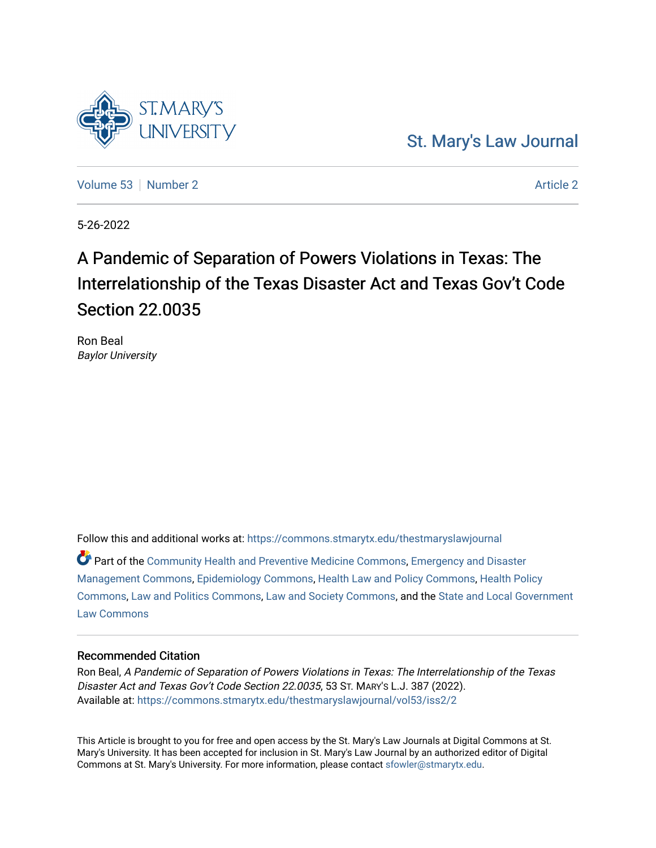# [St. Mary's Law Journal](https://commons.stmarytx.edu/thestmaryslawjournal)

[Volume 53](https://commons.stmarytx.edu/thestmaryslawjournal/vol53) [Number 2](https://commons.stmarytx.edu/thestmaryslawjournal/vol53/iss2) [Article 2](https://commons.stmarytx.edu/thestmaryslawjournal/vol53/iss2/2) Article 2 Article 2 Article 2 Article 2 Article 2 Article 2

5-26-2022

# A Pandemic of Separation of Powers Violations in Texas: The Interrelationship of the Texas Disaster Act and Texas Gov't Code Section 22.0035

Ron Beal Baylor University

Follow this and additional works at: [https://commons.stmarytx.edu/thestmaryslawjournal](https://commons.stmarytx.edu/thestmaryslawjournal?utm_source=commons.stmarytx.edu%2Fthestmaryslawjournal%2Fvol53%2Fiss2%2F2&utm_medium=PDF&utm_campaign=PDFCoverPages) 

Part of the [Community Health and Preventive Medicine Commons](https://network.bepress.com/hgg/discipline/744?utm_source=commons.stmarytx.edu%2Fthestmaryslawjournal%2Fvol53%2Fiss2%2F2&utm_medium=PDF&utm_campaign=PDFCoverPages), [Emergency and Disaster](https://network.bepress.com/hgg/discipline/1321?utm_source=commons.stmarytx.edu%2Fthestmaryslawjournal%2Fvol53%2Fiss2%2F2&utm_medium=PDF&utm_campaign=PDFCoverPages) [Management Commons](https://network.bepress.com/hgg/discipline/1321?utm_source=commons.stmarytx.edu%2Fthestmaryslawjournal%2Fvol53%2Fiss2%2F2&utm_medium=PDF&utm_campaign=PDFCoverPages), [Epidemiology Commons,](https://network.bepress.com/hgg/discipline/740?utm_source=commons.stmarytx.edu%2Fthestmaryslawjournal%2Fvol53%2Fiss2%2F2&utm_medium=PDF&utm_campaign=PDFCoverPages) [Health Law and Policy Commons,](https://network.bepress.com/hgg/discipline/901?utm_source=commons.stmarytx.edu%2Fthestmaryslawjournal%2Fvol53%2Fiss2%2F2&utm_medium=PDF&utm_campaign=PDFCoverPages) [Health Policy](https://network.bepress.com/hgg/discipline/395?utm_source=commons.stmarytx.edu%2Fthestmaryslawjournal%2Fvol53%2Fiss2%2F2&utm_medium=PDF&utm_campaign=PDFCoverPages)  [Commons](https://network.bepress.com/hgg/discipline/395?utm_source=commons.stmarytx.edu%2Fthestmaryslawjournal%2Fvol53%2Fiss2%2F2&utm_medium=PDF&utm_campaign=PDFCoverPages), [Law and Politics Commons,](https://network.bepress.com/hgg/discipline/867?utm_source=commons.stmarytx.edu%2Fthestmaryslawjournal%2Fvol53%2Fiss2%2F2&utm_medium=PDF&utm_campaign=PDFCoverPages) [Law and Society Commons](https://network.bepress.com/hgg/discipline/853?utm_source=commons.stmarytx.edu%2Fthestmaryslawjournal%2Fvol53%2Fiss2%2F2&utm_medium=PDF&utm_campaign=PDFCoverPages), and the [State and Local Government](https://network.bepress.com/hgg/discipline/879?utm_source=commons.stmarytx.edu%2Fthestmaryslawjournal%2Fvol53%2Fiss2%2F2&utm_medium=PDF&utm_campaign=PDFCoverPages) [Law Commons](https://network.bepress.com/hgg/discipline/879?utm_source=commons.stmarytx.edu%2Fthestmaryslawjournal%2Fvol53%2Fiss2%2F2&utm_medium=PDF&utm_campaign=PDFCoverPages) 

# Recommended Citation

Ron Beal, A Pandemic of Separation of Powers Violations in Texas: The Interrelationship of the Texas Disaster Act and Texas Gov't Code Section 22.0035, 53 ST. MARY'S L.J. 387 (2022). Available at: [https://commons.stmarytx.edu/thestmaryslawjournal/vol53/iss2/2](https://commons.stmarytx.edu/thestmaryslawjournal/vol53/iss2/2?utm_source=commons.stmarytx.edu%2Fthestmaryslawjournal%2Fvol53%2Fiss2%2F2&utm_medium=PDF&utm_campaign=PDFCoverPages) 

This Article is brought to you for free and open access by the St. Mary's Law Journals at Digital Commons at St. Mary's University. It has been accepted for inclusion in St. Mary's Law Journal by an authorized editor of Digital Commons at St. Mary's University. For more information, please contact [sfowler@stmarytx.edu](mailto:sfowler@stmarytx.edu).

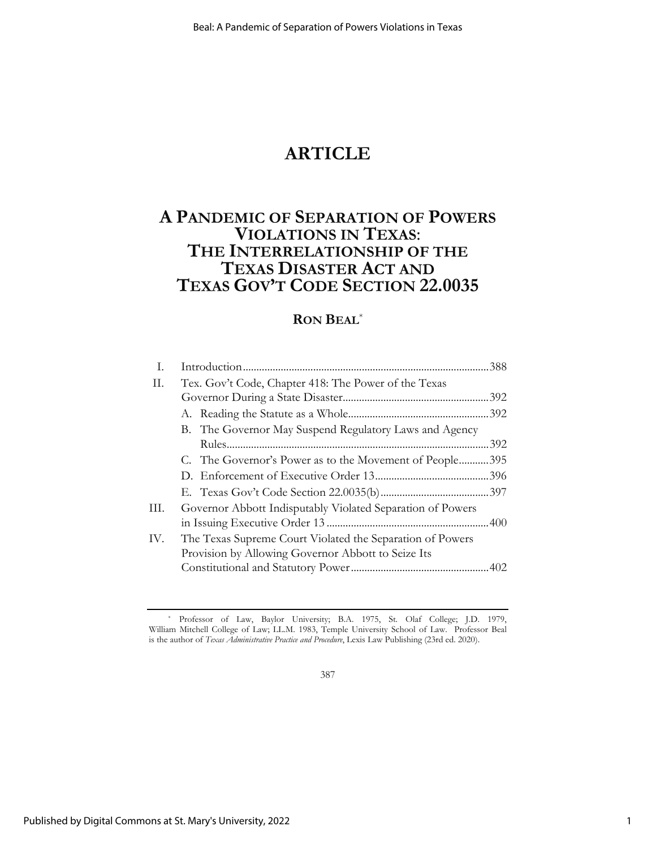# **ARTICLE**

# **A PANDEMIC OF SEPARATION OF POWERS VIOLATIONS IN TEXAS**: **THE INTERRELATIONSHIP OF THE TEXAS DISASTER ACT AND TEXAS GOV'T CODE SECTION 22.0035**

# **RON BEAL**\*

| Ι.  |                                                            |     |
|-----|------------------------------------------------------------|-----|
| П.  | Tex. Gov't Code, Chapter 418: The Power of the Texas       |     |
|     |                                                            |     |
|     |                                                            |     |
|     | B. The Governor May Suspend Regulatory Laws and Agency     |     |
|     |                                                            | 392 |
|     | C. The Governor's Power as to the Movement of People395    |     |
|     |                                                            |     |
|     |                                                            |     |
| Ш.  | Governor Abbott Indisputably Violated Separation of Powers |     |
|     |                                                            |     |
| IV. | The Texas Supreme Court Violated the Separation of Powers  |     |
|     | Provision by Allowing Governor Abbott to Seize Its         |     |
|     |                                                            |     |

387

<sup>\*</sup> Professor of Law, Baylor University; B.A. 1975, St. Olaf College; J.D. 1979, William Mitchell College of Law; LL.M. 1983, Temple University School of Law. Professor Beal is the author of *Texas Administrative Practice and Procedure*, Lexis Law Publishing (23rd ed. 2020).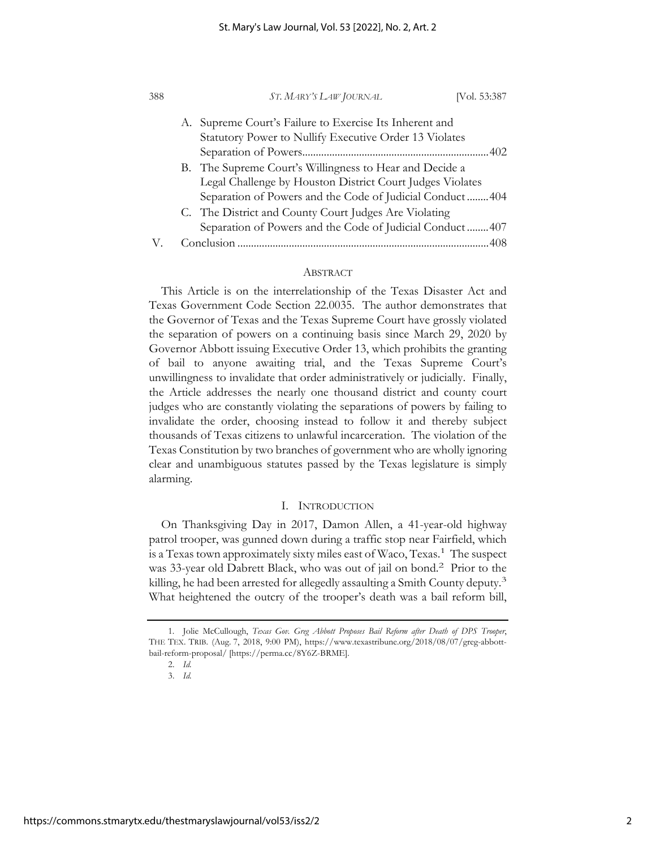| 388 |  | ST. MARY'S LAW JOURNAL                                                                                               | [Vol. 53:387 |
|-----|--|----------------------------------------------------------------------------------------------------------------------|--------------|
|     |  | A. Supreme Court's Failure to Exercise Its Inherent and<br>Statutory Power to Nullify Executive Order 13 Violates    |              |
|     |  |                                                                                                                      |              |
|     |  | B. The Supreme Court's Willingness to Hear and Decide a<br>Legal Challenge by Houston District Court Judges Violates |              |
|     |  | Separation of Powers and the Code of Judicial Conduct404                                                             |              |
|     |  | C. The District and County Court Judges Are Violating                                                                |              |
|     |  | Separation of Powers and the Code of Judicial Conduct 407                                                            |              |
|     |  |                                                                                                                      |              |

## ABSTRACT

This Article is on the interrelationship of the Texas Disaster Act and Texas Government Code Section 22.0035. The author demonstrates that the Governor of Texas and the Texas Supreme Court have grossly violated the separation of powers on a continuing basis since March 29, 2020 by Governor Abbott issuing Executive Order 13, which prohibits the granting of bail to anyone awaiting trial, and the Texas Supreme Court's unwillingness to invalidate that order administratively or judicially. Finally, the Article addresses the nearly one thousand district and county court judges who are constantly violating the separations of powers by failing to invalidate the order, choosing instead to follow it and thereby subject thousands of Texas citizens to unlawful incarceration. The violation of the Texas Constitution by two branches of government who are wholly ignoring clear and unambiguous statutes passed by the Texas legislature is simply alarming.

## I. INTRODUCTION

On Thanksgiving Day in 2017, Damon Allen, a 41-year-old highway patrol trooper, was gunned down during a traffic stop near Fairfield, which is a Texas town approximately sixty miles east of Waco, Texas.1 The suspect was 33-year old Dabrett Black, who was out of jail on bond.2 Prior to the killing, he had been arrested for allegedly assaulting a Smith County deputy.<sup>3</sup> What heightened the outcry of the trooper's death was a bail reform bill,

<sup>1.</sup> Jolie McCullough, *Texas Gov. Greg Abbott Proposes Bail Reform after Death of DPS Trooper*, THE TEX. TRIB. (Aug. 7, 2018, 9:00 PM), https://www.texastribune.org/2018/08/07/greg-abbottbail-reform-proposal/ [https://perma.cc/8Y6Z-BRME].

<sup>2.</sup> *Id.* 

<sup>3.</sup> *Id.*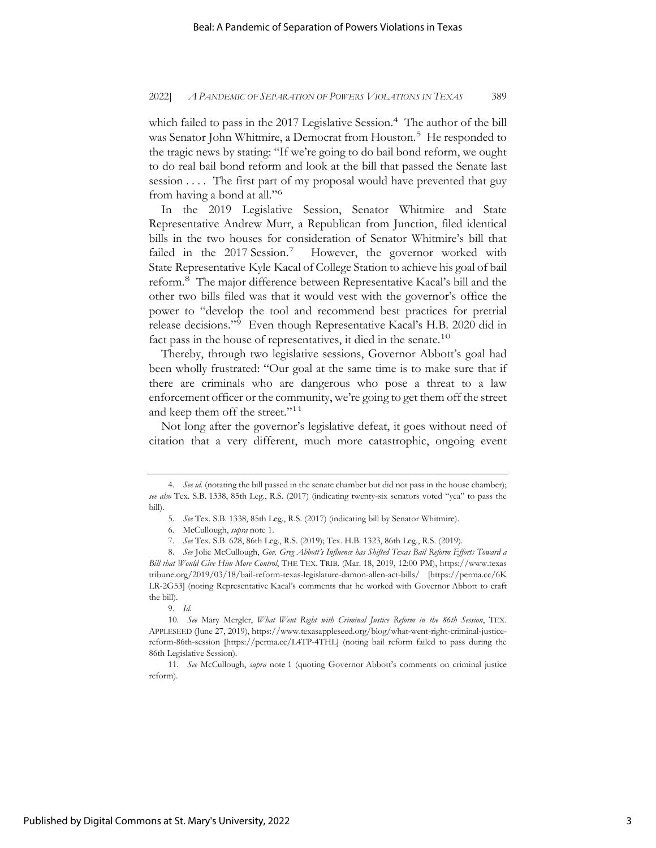which failed to pass in the 2017 Legislative Session.<sup>4</sup> The author of the bill was Senator John Whitmire, a Democrat from Houston.<sup>5</sup> He responded to the tragic news by stating: "If we're going to do bail bond reform, we ought to do real bail bond reform and look at the bill that passed the Senate last session .... The first part of my proposal would have prevented that guy from having a bond at all."6

In the 2019 Legislative Session, Senator Whitmire and State Representative Andrew Murr, a Republican from Junction, filed identical bills in the two houses for consideration of Senator Whitmire's bill that failed in the 2017 Session.<sup>7</sup> However, the governor worked with State Representative Kyle Kacal of College Station to achieve his goal of bail reform.<sup>8</sup> The major difference between Representative Kacal's bill and the other two bills filed was that it would vest with the governor's office the power to "develop the tool and recommend best practices for pretrial release decisions."<sup>9</sup> Even though Representative Kacal's H.B. 2020 did in fact pass in the house of representatives, it died in the senate.10

Thereby, through two legislative sessions, Governor Abbott's goal had been wholly frustrated: "Our goal at the same time is to make sure that if there are criminals who are dangerous who pose a threat to a law enforcement officer or the community, we're going to get them off the street and keep them off the street."<sup>11</sup>

Not long after the governor's legislative defeat, it goes without need of citation that a very different, much more catastrophic, ongoing event

<sup>4.</sup> *See id.* (notating the bill passed in the senate chamber but did not pass in the house chamber); *see also* Tex. S.B. 1338, 85th Leg., R.S. (2017) (indicating twenty-six senators voted "yea" to pass the bill).

<sup>5.</sup> *See* Tex. S.B. 1338, 85th Leg., R.S. (2017) (indicating bill by Senator Whitmire).

<sup>6.</sup> McCullough, *supra* note 1.

<sup>7.</sup> *See* Tex. S.B. 628, 86th Leg., R.S. (2019); Tex. H.B. 1323, 86th Leg., R.S. (2019).

<sup>8.</sup> *See* Jolie McCullough, *Gov. Greg Abbott's Influence has Shifted Texas Bail Reform Efforts Toward a Bill that Would Give Him More Control*, THE TEX. TRIB. (Mar. 18, 2019, 12:00 PM), https://www.texas tribune.org/2019/03/18/bail-reform-texas-legislature-damon-allen-act-bills/ [https://perma.cc/6K LR-2G53] (noting Representative Kacal's comments that he worked with Governor Abbott to craft the bill).

<sup>9.</sup> *Id.* 

<sup>10.</sup> *See* Mary Mergler, *What Went Right with Criminal Justice Reform in the 86th Session*, TEX. APPLESEED (June 27, 2019), https://www.texasappleseed.org/blog/what-went-right-criminal-justicereform-86th-session [https://perma.cc/L4TP-4THL] (noting bail reform failed to pass during the 86th Legislative Session).

<sup>11.</sup> *See* McCullough, *supra* note 1 (quoting Governor Abbott's comments on criminal justice reform).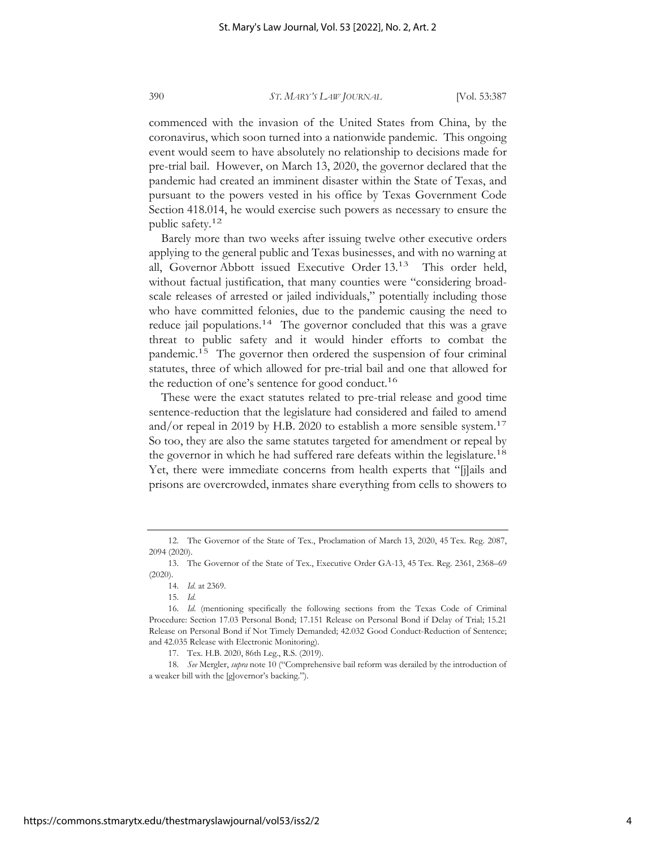commenced with the invasion of the United States from China, by the coronavirus, which soon turned into a nationwide pandemic. This ongoing event would seem to have absolutely no relationship to decisions made for pre-trial bail. However, on March 13, 2020, the governor declared that the pandemic had created an imminent disaster within the State of Texas, and pursuant to the powers vested in his office by Texas Government Code Section 418.014, he would exercise such powers as necessary to ensure the public safety.12

Barely more than two weeks after issuing twelve other executive orders applying to the general public and Texas businesses, and with no warning at all, Governor Abbott issued Executive Order 13.13 This order held, without factual justification, that many counties were "considering broadscale releases of arrested or jailed individuals," potentially including those who have committed felonies, due to the pandemic causing the need to reduce jail populations.<sup>14</sup> The governor concluded that this was a grave threat to public safety and it would hinder efforts to combat the pandemic.15 The governor then ordered the suspension of four criminal statutes, three of which allowed for pre-trial bail and one that allowed for the reduction of one's sentence for good conduct.<sup>16</sup>

These were the exact statutes related to pre-trial release and good time sentence-reduction that the legislature had considered and failed to amend and/or repeal in 2019 by H.B. 2020 to establish a more sensible system.<sup>17</sup> So too, they are also the same statutes targeted for amendment or repeal by the governor in which he had suffered rare defeats within the legislature.<sup>18</sup> Yet, there were immediate concerns from health experts that "[j]ails and prisons are overcrowded, inmates share everything from cells to showers to

<sup>12.</sup> The Governor of the State of Tex., Proclamation of March 13, 2020, 45 Tex. Reg. 2087, 2094 (2020).

<sup>13.</sup> The Governor of the State of Tex., Executive Order GA-13, 45 Tex. Reg. 2361, 2368–69 (2020).

<sup>14.</sup> *Id.* at 2369.

<sup>15.</sup> *Id.* 

<sup>16.</sup> *Id.* (mentioning specifically the following sections from the Texas Code of Criminal Procedure: Section 17.03 Personal Bond; 17.151 Release on Personal Bond if Delay of Trial; 15.21 Release on Personal Bond if Not Timely Demanded; 42.032 Good Conduct-Reduction of Sentence; and 42.035 Release with Electronic Monitoring).

<sup>17.</sup> Tex. H.B. 2020, 86th Leg., R.S. (2019).

<sup>18.</sup> *See* Mergler, *supra* note 10 ("Comprehensive bail reform was derailed by the introduction of a weaker bill with the [g]overnor's backing.").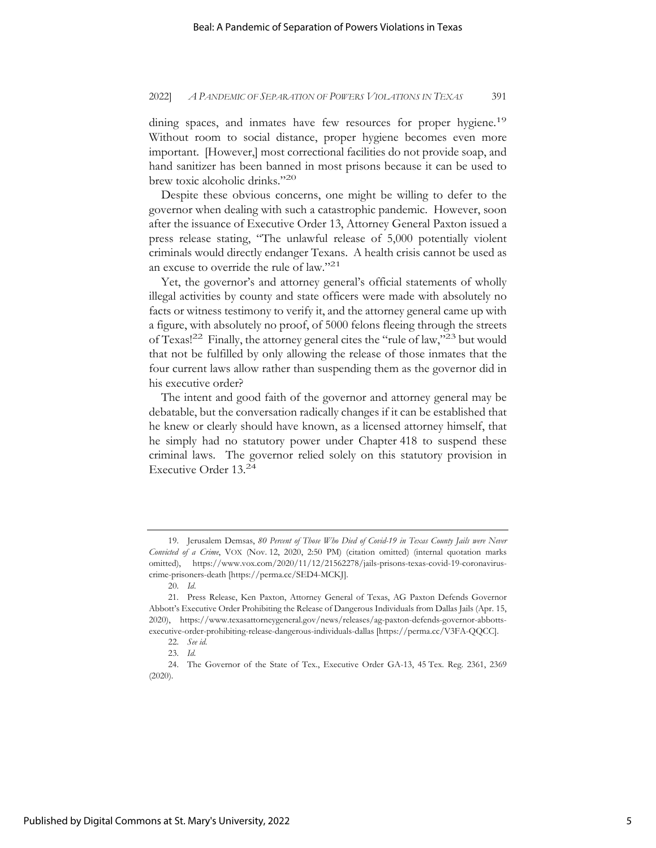dining spaces, and inmates have few resources for proper hygiene.<sup>19</sup> Without room to social distance, proper hygiene becomes even more important. [However,] most correctional facilities do not provide soap, and hand sanitizer has been banned in most prisons because it can be used to brew toxic alcoholic drinks."20

Despite these obvious concerns, one might be willing to defer to the governor when dealing with such a catastrophic pandemic. However, soon after the issuance of Executive Order 13, Attorney General Paxton issued a press release stating, "The unlawful release of 5,000 potentially violent criminals would directly endanger Texans. A health crisis cannot be used as an excuse to override the rule of law."21

Yet, the governor's and attorney general's official statements of wholly illegal activities by county and state officers were made with absolutely no facts or witness testimony to verify it, and the attorney general came up with a figure, with absolutely no proof, of 5000 felons fleeing through the streets of Texas!<sup>22</sup> Finally, the attorney general cites the "rule of law,"<sup>23</sup> but would that not be fulfilled by only allowing the release of those inmates that the four current laws allow rather than suspending them as the governor did in his executive order?

The intent and good faith of the governor and attorney general may be debatable, but the conversation radically changes if it can be established that he knew or clearly should have known, as a licensed attorney himself, that he simply had no statutory power under Chapter 418 to suspend these criminal laws. The governor relied solely on this statutory provision in Executive Order 13.24

<sup>19.</sup> Jerusalem Demsas, *80 Percent of Those Who Died of Covid-19 in Texas County Jails were Never Convicted of a Crime*, VOX (Nov. 12, 2020, 2:50 PM) (citation omitted) (internal quotation marks omitted), https://www.vox.com/2020/11/12/21562278/jails-prisons-texas-covid-19-coronaviruscrime-prisoners-death [https://perma.cc/SED4-MCKJ].

<sup>20.</sup> *Id*.

<sup>21.</sup> Press Release, Ken Paxton, Attorney General of Texas, AG Paxton Defends Governor Abbott's Executive Order Prohibiting the Release of Dangerous Individuals from Dallas Jails (Apr. 15, 2020), https://www.texasattorneygeneral.gov/news/releases/ag-paxton-defends-governor-abbottsexecutive-order-prohibiting-release-dangerous-individuals-dallas [https://perma.cc/V3FA-QQCC].

<sup>22.</sup> *See id.*

<sup>23.</sup> *Id.* 

<sup>24.</sup> The Governor of the State of Tex., Executive Order GA-13, 45 Tex. Reg. 2361, 2369 (2020).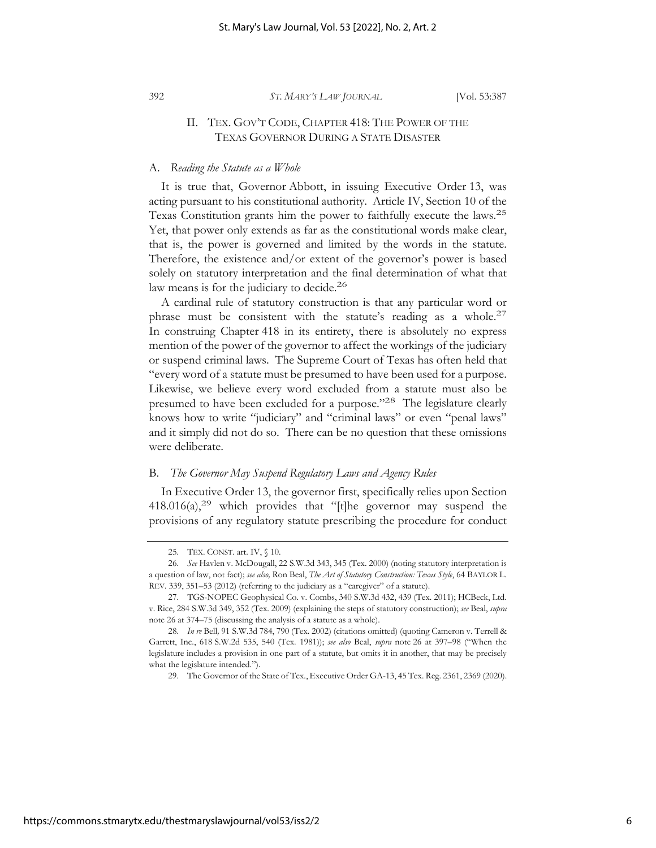## II. TEX. GOV'T CODE, CHAPTER 418: THE POWER OF THE TEXAS GOVERNOR DURING A STATE DISASTER

### A. *Reading the Statute as a Whole*

It is true that, Governor Abbott, in issuing Executive Order 13, was acting pursuant to his constitutional authority. Article IV, Section 10 of the Texas Constitution grants him the power to faithfully execute the laws.25 Yet, that power only extends as far as the constitutional words make clear, that is, the power is governed and limited by the words in the statute. Therefore, the existence and/or extent of the governor's power is based solely on statutory interpretation and the final determination of what that law means is for the judiciary to decide.<sup>26</sup>

A cardinal rule of statutory construction is that any particular word or phrase must be consistent with the statute's reading as a whole. $27$ In construing Chapter 418 in its entirety, there is absolutely no express mention of the power of the governor to affect the workings of the judiciary or suspend criminal laws. The Supreme Court of Texas has often held that "every word of a statute must be presumed to have been used for a purpose. Likewise, we believe every word excluded from a statute must also be presumed to have been excluded for a purpose."28 The legislature clearly knows how to write "judiciary" and "criminal laws" or even "penal laws" and it simply did not do so. There can be no question that these omissions were deliberate.

## B. *The Governor May Suspend Regulatory Laws and Agency Rules*

In Executive Order 13, the governor first, specifically relies upon Section  $418.016(a)$ ,<sup>29</sup> which provides that "[t]he governor may suspend the provisions of any regulatory statute prescribing the procedure for conduct

<sup>25.</sup> TEX. CONST. art. IV, § 10.

<sup>26.</sup> *See* Havlen v. McDougall, 22 S.W.3d 343, 345 (Tex. 2000) (noting statutory interpretation is a question of law, not fact); *see also,* Ron Beal, *The Art of Statutory Construction: Texas Style*, 64 BAYLOR L. REV. 339, 351–53 (2012) (referring to the judiciary as a "caregiver" of a statute).

<sup>27.</sup> TGS-NOPEC Geophysical Co. v. Combs, 340 S.W.3d 432, 439 (Tex. 2011); HCBeck, Ltd. v. Rice, 284 S.W.3d 349, 352 (Tex. 2009) (explaining the steps of statutory construction); *see* Beal, *supra*  note 26 at 374–75 (discussing the analysis of a statute as a whole).

<sup>28.</sup> *In re* Bell*,* 91 S.W.3d 784, 790 (Tex. 2002) (citations omitted) (quoting Cameron v. Terrell & Garrett, Inc., 618 S.W.2d 535, 540 (Tex. 1981)); *see also* Beal, *supra* note 26 at 397–98 ("When the legislature includes a provision in one part of a statute, but omits it in another, that may be precisely what the legislature intended.").

<sup>29.</sup> The Governor of the State of Tex., Executive Order GA-13, 45 Tex. Reg. 2361, 2369 (2020).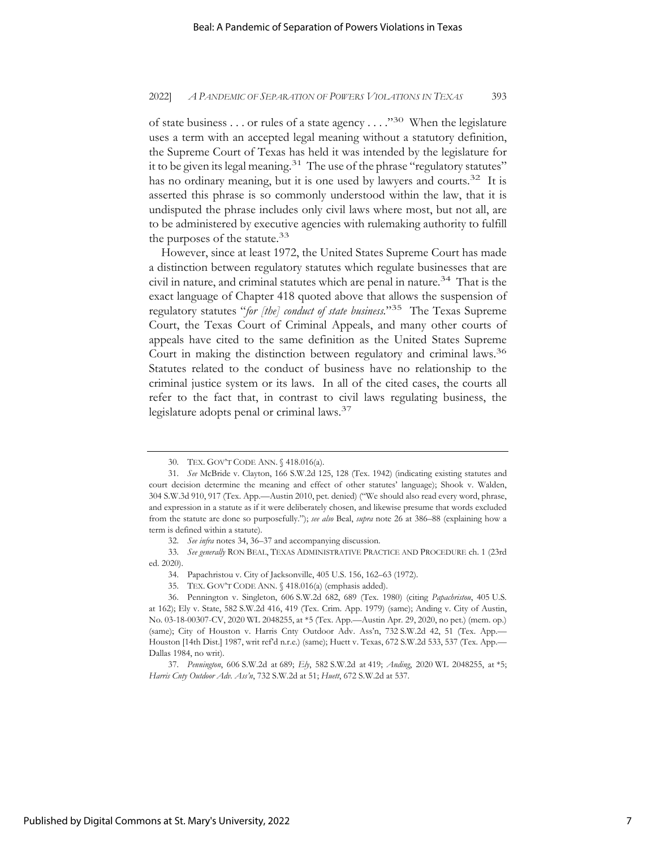of state business . . . or rules of a state agency . . . ."30 When the legislature uses a term with an accepted legal meaning without a statutory definition, the Supreme Court of Texas has held it was intended by the legislature for it to be given its legal meaning.<sup>31</sup> The use of the phrase "regulatory statutes" has no ordinary meaning, but it is one used by lawyers and courts.<sup>32</sup> It is asserted this phrase is so commonly understood within the law, that it is undisputed the phrase includes only civil laws where most, but not all, are to be administered by executive agencies with rulemaking authority to fulfill the purposes of the statute.<sup>33</sup>

However, since at least 1972, the United States Supreme Court has made a distinction between regulatory statutes which regulate businesses that are civil in nature, and criminal statutes which are penal in nature.34 That is the exact language of Chapter 418 quoted above that allows the suspension of regulatory statutes "*for [the] conduct of state business.*"35 The Texas Supreme Court, the Texas Court of Criminal Appeals, and many other courts of appeals have cited to the same definition as the United States Supreme Court in making the distinction between regulatory and criminal laws.<sup>36</sup> Statutes related to the conduct of business have no relationship to the criminal justice system or its laws. In all of the cited cases, the courts all refer to the fact that, in contrast to civil laws regulating business, the legislature adopts penal or criminal laws.37

<sup>30.</sup> TEX. GOV'T CODE ANN. § 418.016(a).

<sup>31.</sup> *See* McBride v. Clayton, 166 S.W.2d 125, 128 (Tex. 1942) (indicating existing statutes and court decision determine the meaning and effect of other statutes' language); Shook v. Walden, 304 S.W.3d 910, 917 (Tex. App.—Austin 2010, pet. denied) ("We should also read every word, phrase, and expression in a statute as if it were deliberately chosen, and likewise presume that words excluded from the statute are done so purposefully."); *see also* Beal, *supra* note 26 at 386–88 (explaining how a term is defined within a statute).

<sup>32.</sup> *See infra* notes 34, 36–37 and accompanying discussion.

<sup>33.</sup> *See generally* RON BEAL, TEXAS ADMINISTRATIVE PRACTICE AND PROCEDURE ch. 1 (23rd ed. 2020).

<sup>34.</sup> Papachristou v. City of Jacksonville, 405 U.S. 156, 162–63 (1972).

<sup>35.</sup> TEX. GOV'T CODE ANN. § 418.016(a) (emphasis added).

<sup>36.</sup> Pennington v. Singleton, 606 S.W.2d 682, 689 (Tex. 1980) (citing *Papachristou*, 405 U.S. at 162); Ely v. State, 582 S.W.2d 416, 419 (Tex. Crim. App. 1979) (same); Anding v. City of Austin, No. 03-18-00307-CV, 2020 WL 2048255, at \*5 (Tex. App.—Austin Apr. 29, 2020, no pet.) (mem. op.) (same); City of Houston v. Harris Cnty Outdoor Adv. Ass'n, 732 S.W.2d 42, 51 (Tex. App.— Houston [14th Dist.] 1987, writ ref'd n.r.e.) (same); Huett v. Texas, 672 S.W.2d 533, 537 (Tex. App.— Dallas 1984, no writ).

<sup>37.</sup> *Pennington*, 606 S.W.2d at 689; *Ely*, 582 S.W.2d at 419; *Anding*, 2020 WL 2048255, at \*5; *Harris Cnty Outdoor Adv. Ass'n*, 732 S.W.2d at 51; *Huett*, 672 S.W.2d at 537.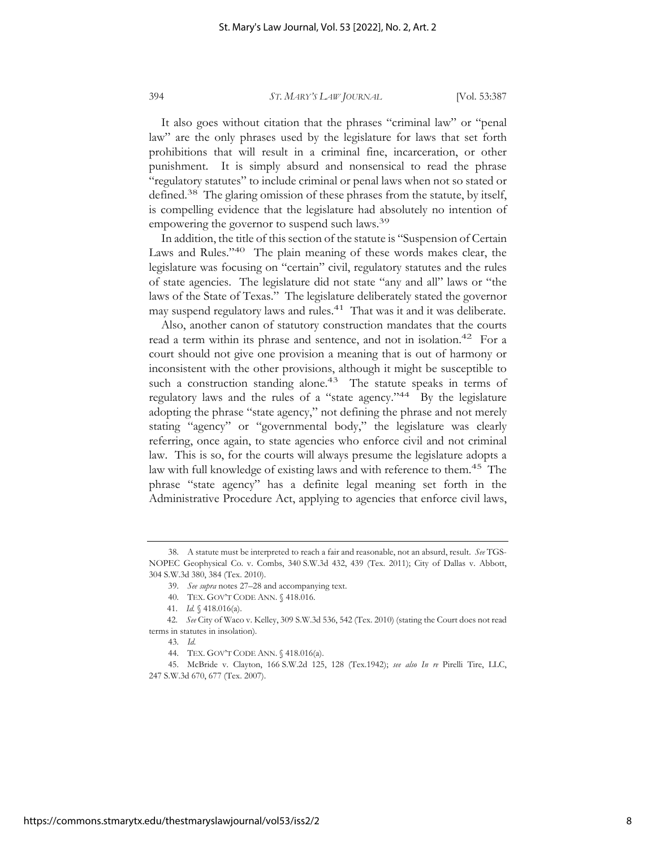It also goes without citation that the phrases "criminal law" or "penal law" are the only phrases used by the legislature for laws that set forth prohibitions that will result in a criminal fine, incarceration, or other punishment. It is simply absurd and nonsensical to read the phrase "regulatory statutes" to include criminal or penal laws when not so stated or defined.<sup>38</sup> The glaring omission of these phrases from the statute, by itself, is compelling evidence that the legislature had absolutely no intention of empowering the governor to suspend such laws.<sup>39</sup>

In addition, the title of this section of the statute is "Suspension of Certain Laws and Rules."<sup>40</sup> The plain meaning of these words makes clear, the legislature was focusing on "certain" civil, regulatory statutes and the rules of state agencies. The legislature did not state "any and all" laws or "the laws of the State of Texas." The legislature deliberately stated the governor may suspend regulatory laws and rules.<sup>41</sup> That was it and it was deliberate.

Also, another canon of statutory construction mandates that the courts read a term within its phrase and sentence, and not in isolation.<sup>42</sup> For a court should not give one provision a meaning that is out of harmony or inconsistent with the other provisions, although it might be susceptible to such a construction standing alone.<sup>43</sup> The statute speaks in terms of regulatory laws and the rules of a "state agency."44 By the legislature adopting the phrase "state agency," not defining the phrase and not merely stating "agency" or "governmental body," the legislature was clearly referring, once again, to state agencies who enforce civil and not criminal law. This is so, for the courts will always presume the legislature adopts a law with full knowledge of existing laws and with reference to them.<sup>45</sup> The phrase "state agency" has a definite legal meaning set forth in the Administrative Procedure Act, applying to agencies that enforce civil laws,

<sup>38.</sup> A statute must be interpreted to reach a fair and reasonable, not an absurd, result. *See* TGS-NOPEC Geophysical Co. v. Combs, 340 S.W.3d 432, 439 (Tex. 2011); City of Dallas v. Abbott, 304 S.W.3d 380, 384 (Tex. 2010).

<sup>39.</sup> *See supra* notes 27–28 and accompanying text.

<sup>40.</sup> TEX. GOV'T CODE ANN. § 418.016.

 <sup>41.</sup> *Id.* § 418.016(a).

 <sup>42.</sup> *See* City of Waco v. Kelley, 309 S.W.3d 536, 542 (Tex. 2010) (stating the Court does not read terms in statutes in insolation).

<sup>43.</sup> *Id.* 

<sup>44.</sup> TEX. GOV'T CODE ANN. § 418.016(a).

<sup>45.</sup> McBride v. Clayton, 166 S.W.2d 125, 128 (Tex.1942); *see also In re* Pirelli Tire, LLC, 247 S.W.3d 670, 677 (Tex. 2007).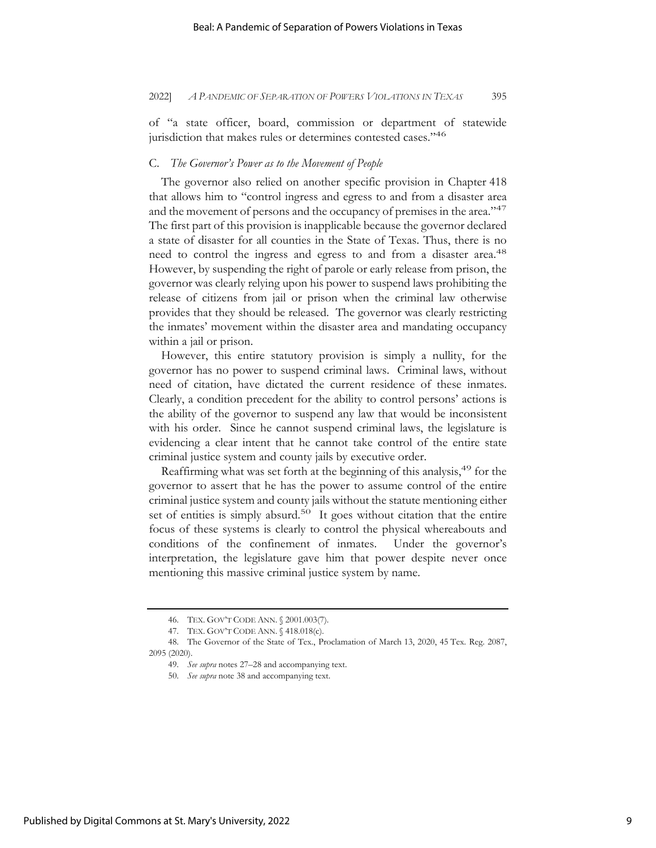of "a state officer, board, commission or department of statewide jurisdiction that makes rules or determines contested cases."<sup>46</sup>

### C. *The Governor's Power as to the Movement of People*

The governor also relied on another specific provision in Chapter 418 that allows him to "control ingress and egress to and from a disaster area and the movement of persons and the occupancy of premises in the area."<sup>47</sup> The first part of this provision is inapplicable because the governor declared a state of disaster for all counties in the State of Texas. Thus, there is no need to control the ingress and egress to and from a disaster area.<sup>48</sup> However, by suspending the right of parole or early release from prison, the governor was clearly relying upon his power to suspend laws prohibiting the release of citizens from jail or prison when the criminal law otherwise provides that they should be released. The governor was clearly restricting the inmates' movement within the disaster area and mandating occupancy within a jail or prison.

However, this entire statutory provision is simply a nullity, for the governor has no power to suspend criminal laws. Criminal laws, without need of citation, have dictated the current residence of these inmates. Clearly, a condition precedent for the ability to control persons' actions is the ability of the governor to suspend any law that would be inconsistent with his order. Since he cannot suspend criminal laws, the legislature is evidencing a clear intent that he cannot take control of the entire state criminal justice system and county jails by executive order.

Reaffirming what was set forth at the beginning of this analysis,49 for the governor to assert that he has the power to assume control of the entire criminal justice system and county jails without the statute mentioning either set of entities is simply absurd.<sup>50</sup> It goes without citation that the entire focus of these systems is clearly to control the physical whereabouts and conditions of the confinement of inmates. Under the governor's interpretation, the legislature gave him that power despite never once mentioning this massive criminal justice system by name.

<sup>46.</sup> TEX. GOV'T CODE ANN. § 2001.003(7).

<sup>47.</sup> TEX. GOV'T CODE ANN. § 418.018(c).

<sup>48.</sup> The Governor of the State of Tex., Proclamation of March 13, 2020, 45 Tex. Reg. 2087, 2095 (2020).

<sup>49.</sup> *See supra* notes 27–28 and accompanying text.

<sup>50.</sup> *See supra* note 38 and accompanying text.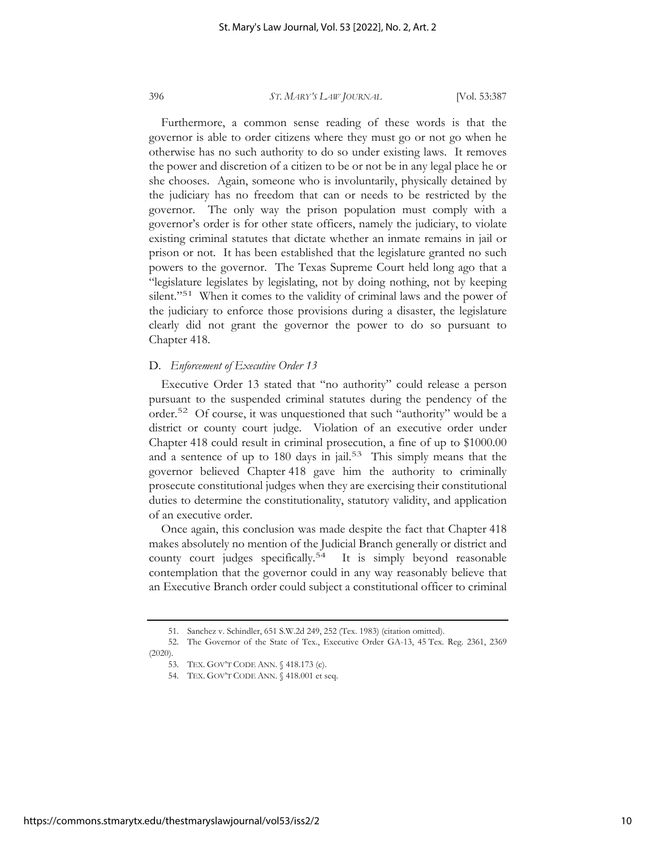Furthermore, a common sense reading of these words is that the governor is able to order citizens where they must go or not go when he otherwise has no such authority to do so under existing laws. It removes the power and discretion of a citizen to be or not be in any legal place he or she chooses. Again, someone who is involuntarily, physically detained by the judiciary has no freedom that can or needs to be restricted by the governor. The only way the prison population must comply with a governor's order is for other state officers, namely the judiciary, to violate existing criminal statutes that dictate whether an inmate remains in jail or prison or not. It has been established that the legislature granted no such powers to the governor. The Texas Supreme Court held long ago that a "legislature legislates by legislating, not by doing nothing, not by keeping silent."<sup>51</sup> When it comes to the validity of criminal laws and the power of the judiciary to enforce those provisions during a disaster, the legislature clearly did not grant the governor the power to do so pursuant to Chapter 418.

## D. *Enforcement of Executive Order 13*

Executive Order 13 stated that "no authority" could release a person pursuant to the suspended criminal statutes during the pendency of the order.52 Of course, it was unquestioned that such "authority" would be a district or county court judge. Violation of an executive order under Chapter 418 could result in criminal prosecution, a fine of up to \$1000.00 and a sentence of up to 180 days in jail.<sup>53</sup> This simply means that the governor believed Chapter 418 gave him the authority to criminally prosecute constitutional judges when they are exercising their constitutional duties to determine the constitutionality, statutory validity, and application of an executive order.

Once again, this conclusion was made despite the fact that Chapter 418 makes absolutely no mention of the Judicial Branch generally or district and county court judges specifically.<sup>54</sup> It is simply beyond reasonable contemplation that the governor could in any way reasonably believe that an Executive Branch order could subject a constitutional officer to criminal

<sup>51.</sup> Sanchez v. Schindler, 651 S.W.2d 249, 252 (Tex. 1983) (citation omitted).

<sup>52.</sup> The Governor of the State of Tex., Executive Order GA-13, 45 Tex. Reg. 2361, 2369 (2020).

<sup>53.</sup> TEX. GOV'T CODE ANN. § 418.173 (c).

<sup>54.</sup> TEX. GOV'T CODE ANN. § 418.001 et seq.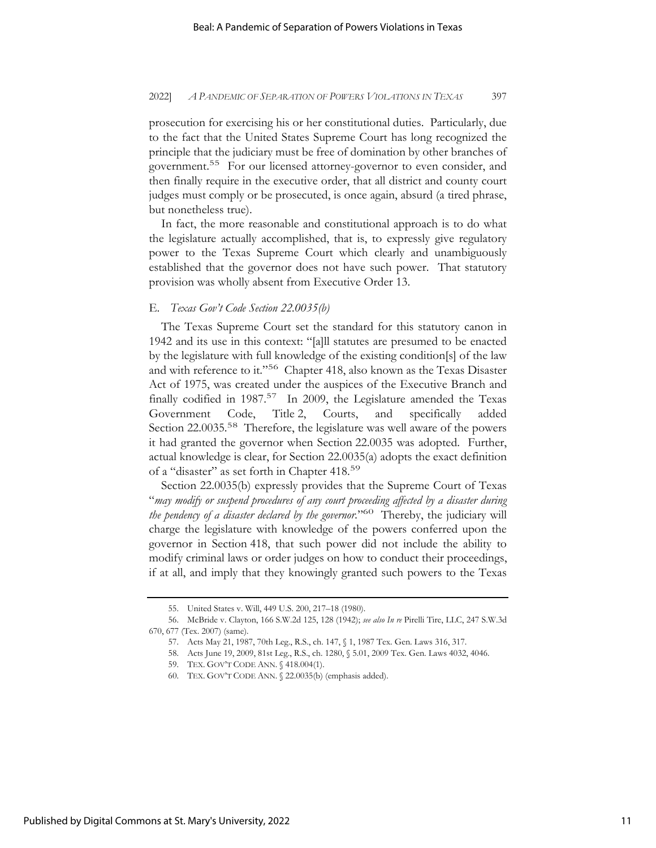prosecution for exercising his or her constitutional duties. Particularly, due to the fact that the United States Supreme Court has long recognized the principle that the judiciary must be free of domination by other branches of government.55 For our licensed attorney-governor to even consider, and then finally require in the executive order, that all district and county court judges must comply or be prosecuted, is once again, absurd (a tired phrase, but nonetheless true).

In fact, the more reasonable and constitutional approach is to do what the legislature actually accomplished, that is, to expressly give regulatory power to the Texas Supreme Court which clearly and unambiguously established that the governor does not have such power. That statutory provision was wholly absent from Executive Order 13.

### E. *Texas Gov't Code Section 22.0035(b)*

The Texas Supreme Court set the standard for this statutory canon in 1942 and its use in this context: "[a]ll statutes are presumed to be enacted by the legislature with full knowledge of the existing condition[s] of the law and with reference to it."56 Chapter 418, also known as the Texas Disaster Act of 1975, was created under the auspices of the Executive Branch and finally codified in  $1987.57$  In 2009, the Legislature amended the Texas Government Code, Title 2, Courts, and specifically added Section 22.0035.<sup>58</sup> Therefore, the legislature was well aware of the powers it had granted the governor when Section 22.0035 was adopted. Further, actual knowledge is clear, for Section 22.0035(a) adopts the exact definition of a "disaster" as set forth in Chapter 418.59

Section 22.0035(b) expressly provides that the Supreme Court of Texas "*may modify or suspend procedures of any court proceeding affected by a disaster during the pendency of a disaster declared by the governor.*"60 Thereby, the judiciary will charge the legislature with knowledge of the powers conferred upon the governor in Section 418, that such power did not include the ability to modify criminal laws or order judges on how to conduct their proceedings, if at all, and imply that they knowingly granted such powers to the Texas

<sup>55.</sup> United States v. Will, 449 U.S. 200, 217–18 (1980).

<sup>56.</sup> McBride v. Clayton, 166 S.W.2d 125, 128 (1942); *see also In re* Pirelli Tire, LLC, 247 S.W.3d 670, 677 (Tex. 2007) (same).

<sup>57.</sup> Acts May 21, 1987, 70th Leg., R.S., ch. 147, § 1, 1987 Tex. Gen. Laws 316, 317.

<sup>58.</sup> Acts June 19, 2009, 81st Leg., R.S., ch. 1280, § 5.01, 2009 Tex. Gen. Laws 4032, 4046.

<sup>59.</sup> TEX. GOV'T CODE ANN. § 418.004(1).

<sup>60.</sup> TEX. GOV'T CODE ANN. § 22.0035(b) (emphasis added).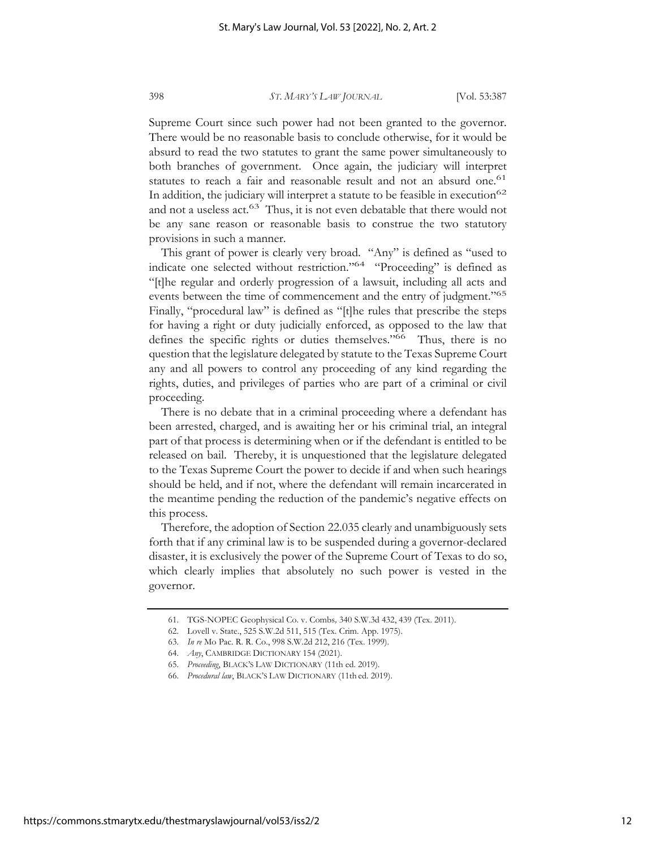Supreme Court since such power had not been granted to the governor. There would be no reasonable basis to conclude otherwise, for it would be absurd to read the two statutes to grant the same power simultaneously to both branches of government. Once again, the judiciary will interpret statutes to reach a fair and reasonable result and not an absurd one.<sup>61</sup> In addition, the judiciary will interpret a statute to be feasible in execution<sup>62</sup> and not a useless act.<sup>63</sup> Thus, it is not even debatable that there would not be any sane reason or reasonable basis to construe the two statutory provisions in such a manner.

This grant of power is clearly very broad. "Any" is defined as "used to indicate one selected without restriction."64 "Proceeding" is defined as "[t]he regular and orderly progression of a lawsuit, including all acts and events between the time of commencement and the entry of judgment."<sup>65</sup> Finally, "procedural law" is defined as "[t]he rules that prescribe the steps for having a right or duty judicially enforced, as opposed to the law that defines the specific rights or duties themselves."<sup>66</sup> Thus, there is no question that the legislature delegated by statute to the Texas Supreme Court any and all powers to control any proceeding of any kind regarding the rights, duties, and privileges of parties who are part of a criminal or civil proceeding.

There is no debate that in a criminal proceeding where a defendant has been arrested, charged, and is awaiting her or his criminal trial, an integral part of that process is determining when or if the defendant is entitled to be released on bail. Thereby, it is unquestioned that the legislature delegated to the Texas Supreme Court the power to decide if and when such hearings should be held, and if not, where the defendant will remain incarcerated in the meantime pending the reduction of the pandemic's negative effects on this process.

Therefore, the adoption of Section 22.035 clearly and unambiguously sets forth that if any criminal law is to be suspended during a governor-declared disaster, it is exclusively the power of the Supreme Court of Texas to do so, which clearly implies that absolutely no such power is vested in the governor.

<sup>61.</sup> TGS-NOPEC Geophysical Co. v. Combs*,* 340 S.W.3d 432, 439 (Tex. 2011).

<sup>62.</sup> Lovell v. State., 525 S.W.2d 511, 515 (Tex. Crim. App. 1975).

<sup>63.</sup> *In re* Mo Pac. R. R. Co., 998 S.W.2d 212, 216 (Tex. 1999).

<sup>64.</sup> *Any*, CAMBRIDGE DICTIONARY 154 (2021).

<sup>65.</sup> *Proceeding*, BLACK'S LAW DICTIONARY (11th ed. 2019).

<sup>66.</sup> *Procedural law*, BLACK'S LAW DICTIONARY (11th ed. 2019).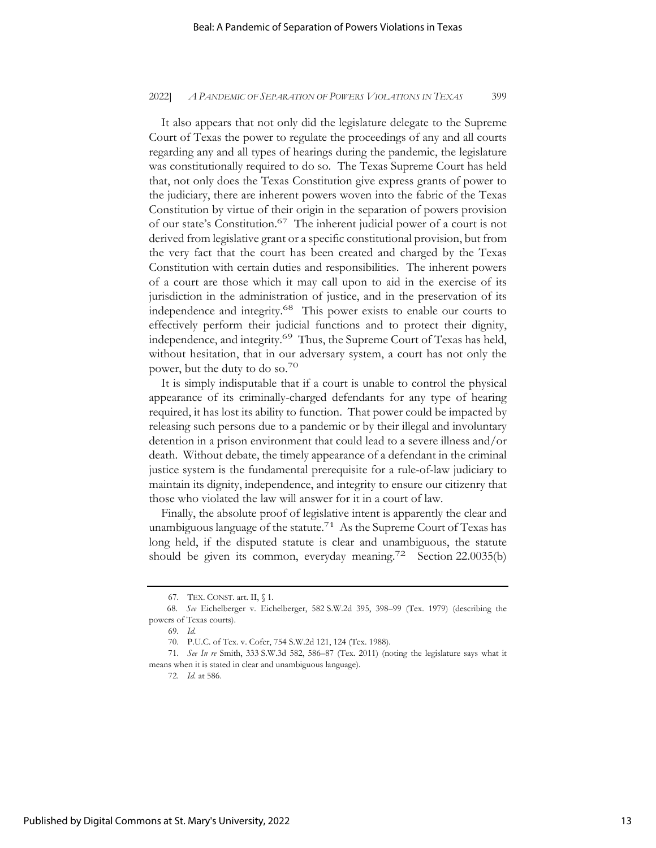It also appears that not only did the legislature delegate to the Supreme Court of Texas the power to regulate the proceedings of any and all courts regarding any and all types of hearings during the pandemic, the legislature was constitutionally required to do so. The Texas Supreme Court has held that, not only does the Texas Constitution give express grants of power to the judiciary, there are inherent powers woven into the fabric of the Texas Constitution by virtue of their origin in the separation of powers provision of our state's Constitution.67 The inherent judicial power of a court is not derived from legislative grant or a specific constitutional provision, but from the very fact that the court has been created and charged by the Texas Constitution with certain duties and responsibilities. The inherent powers of a court are those which it may call upon to aid in the exercise of its jurisdiction in the administration of justice, and in the preservation of its independence and integrity.68 This power exists to enable our courts to effectively perform their judicial functions and to protect their dignity, independence, and integrity.<sup>69</sup> Thus, the Supreme Court of Texas has held, without hesitation, that in our adversary system, a court has not only the power, but the duty to do so.70

It is simply indisputable that if a court is unable to control the physical appearance of its criminally-charged defendants for any type of hearing required, it has lost its ability to function. That power could be impacted by releasing such persons due to a pandemic or by their illegal and involuntary detention in a prison environment that could lead to a severe illness and/or death. Without debate, the timely appearance of a defendant in the criminal justice system is the fundamental prerequisite for a rule-of-law judiciary to maintain its dignity, independence, and integrity to ensure our citizenry that those who violated the law will answer for it in a court of law.

Finally, the absolute proof of legislative intent is apparently the clear and unambiguous language of the statute.<sup>71</sup> As the Supreme Court of Texas has long held, if the disputed statute is clear and unambiguous, the statute should be given its common, everyday meaning.<sup>72</sup> Section 22.0035(b)

<sup>67.</sup> TEX. CONST. art. II, § 1.

 <sup>68.</sup> *See* Eichelberger v. Eichelberger, 582 S.W.2d 395, 398–99 (Tex. 1979) (describing the powers of Texas courts).

<sup>69.</sup> *Id.* 

<sup>70.</sup> P.U.C. of Tex. v. Cofer, 754 S.W.2d 121, 124 (Tex. 1988).

<sup>71.</sup> *See In re* Smith, 333 S.W.3d 582, 586–87 (Tex. 2011) (noting the legislature says what it means when it is stated in clear and unambiguous language).

<sup>72.</sup> *Id.* at 586.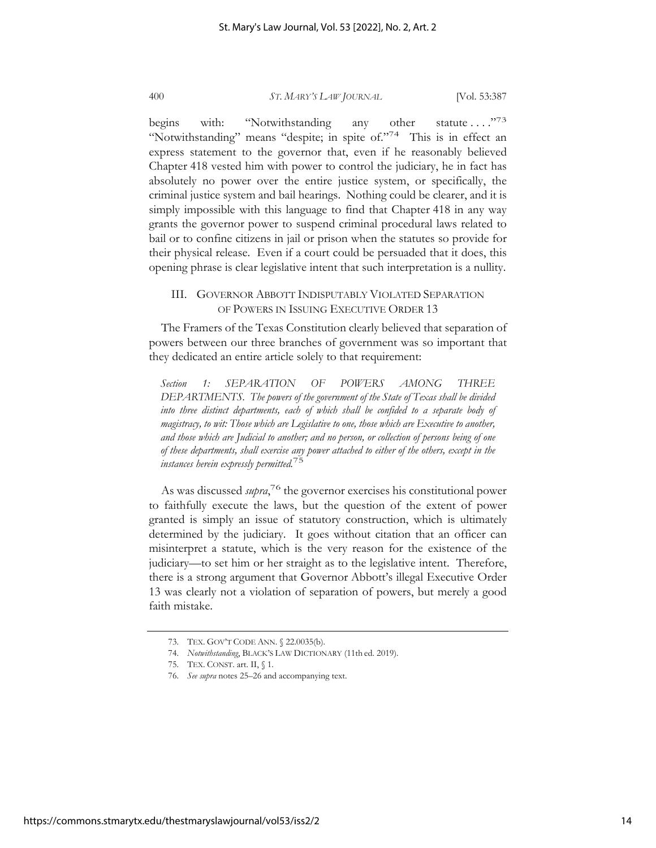begins with: "Notwithstanding any other statute ...."<sup>73</sup> "Notwithstanding" means "despite; in spite of."74 This is in effect an express statement to the governor that, even if he reasonably believed Chapter 418 vested him with power to control the judiciary, he in fact has absolutely no power over the entire justice system, or specifically, the criminal justice system and bail hearings. Nothing could be clearer, and it is simply impossible with this language to find that Chapter 418 in any way grants the governor power to suspend criminal procedural laws related to bail or to confine citizens in jail or prison when the statutes so provide for their physical release. Even if a court could be persuaded that it does, this opening phrase is clear legislative intent that such interpretation is a nullity.

## III. GOVERNOR ABBOTT INDISPUTABLY VIOLATED SEPARATION OF POWERS IN ISSUING EXECUTIVE ORDER 13

The Framers of the Texas Constitution clearly believed that separation of powers between our three branches of government was so important that they dedicated an entire article solely to that requirement:

*Section 1: SEPARATION OF POWERS AMONG THREE DEPARTMENTS. The powers of the government of the State of Texas shall be divided*  into three distinct departments, each of which shall be confided to a separate body of *magistracy, to wit: Those which are Legislative to one, those which are Executive to another, and those which are Judicial to another; and no person, or collection of persons being of one of these departments, shall exercise any power attached to either of the others, except in the instances herein expressly permitted.*75

As was discussed *supra*, 76 the governor exercises his constitutional power to faithfully execute the laws, but the question of the extent of power granted is simply an issue of statutory construction, which is ultimately determined by the judiciary. It goes without citation that an officer can misinterpret a statute, which is the very reason for the existence of the judiciary—to set him or her straight as to the legislative intent. Therefore, there is a strong argument that Governor Abbott's illegal Executive Order 13 was clearly not a violation of separation of powers, but merely a good faith mistake.

<sup>73.</sup> TEX. GOV'T CODE ANN. § 22.0035(b).

<sup>74.</sup> *Notwithstanding*, BLACK'S LAW DICTIONARY (11th ed. 2019).

<sup>75.</sup> TEX. CONST. art. II, § 1.

<sup>76.</sup> *See supra* notes 25–26 and accompanying text.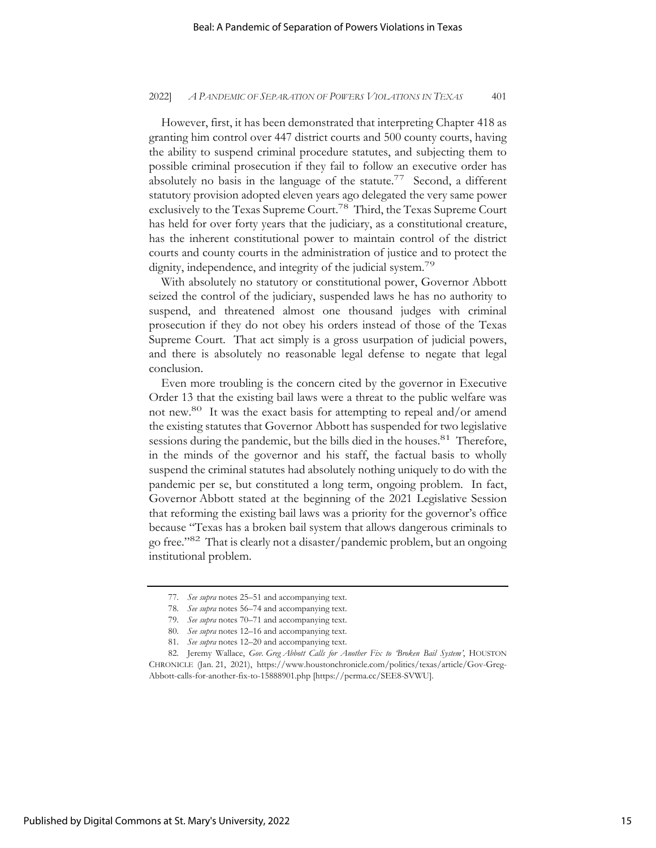However, first, it has been demonstrated that interpreting Chapter 418 as granting him control over 447 district courts and 500 county courts, having the ability to suspend criminal procedure statutes, and subjecting them to possible criminal prosecution if they fail to follow an executive order has absolutely no basis in the language of the statute.<sup>77</sup> Second, a different statutory provision adopted eleven years ago delegated the very same power exclusively to the Texas Supreme Court.<sup>78</sup> Third, the Texas Supreme Court has held for over forty years that the judiciary, as a constitutional creature, has the inherent constitutional power to maintain control of the district courts and county courts in the administration of justice and to protect the dignity, independence, and integrity of the judicial system.<sup>79</sup>

With absolutely no statutory or constitutional power, Governor Abbott seized the control of the judiciary, suspended laws he has no authority to suspend, and threatened almost one thousand judges with criminal prosecution if they do not obey his orders instead of those of the Texas Supreme Court. That act simply is a gross usurpation of judicial powers, and there is absolutely no reasonable legal defense to negate that legal conclusion.

Even more troubling is the concern cited by the governor in Executive Order 13 that the existing bail laws were a threat to the public welfare was not new.80 It was the exact basis for attempting to repeal and/or amend the existing statutes that Governor Abbott has suspended for two legislative sessions during the pandemic, but the bills died in the houses.<sup>81</sup> Therefore, in the minds of the governor and his staff, the factual basis to wholly suspend the criminal statutes had absolutely nothing uniquely to do with the pandemic per se, but constituted a long term, ongoing problem. In fact, Governor Abbott stated at the beginning of the 2021 Legislative Session that reforming the existing bail laws was a priority for the governor's office because "Texas has a broken bail system that allows dangerous criminals to go free."82 That is clearly not a disaster/pandemic problem, but an ongoing institutional problem.

<sup>77.</sup> *See supra* notes 25–51 and accompanying text.

<sup>78.</sup> *See supra* notes 56–74 and accompanying text.

<sup>79.</sup> *See supra* notes 70–71 and accompanying text.

<sup>80.</sup> *See supra* notes 12–16 and accompanying text.

<sup>81.</sup> *See supra* notes 12–20 and accompanying text.

<sup>82.</sup> Jeremy Wallace, *Gov. Greg Abbott Calls for Another Fix to 'Broken Bail System'*, HOUSTON CHRONICLE (Jan. 21, 2021), https://www.houstonchronicle.com/politics/texas/article/Gov-Greg-Abbott-calls-for-another-fix-to-15888901.php [https://perma.cc/SEE8-SVWU].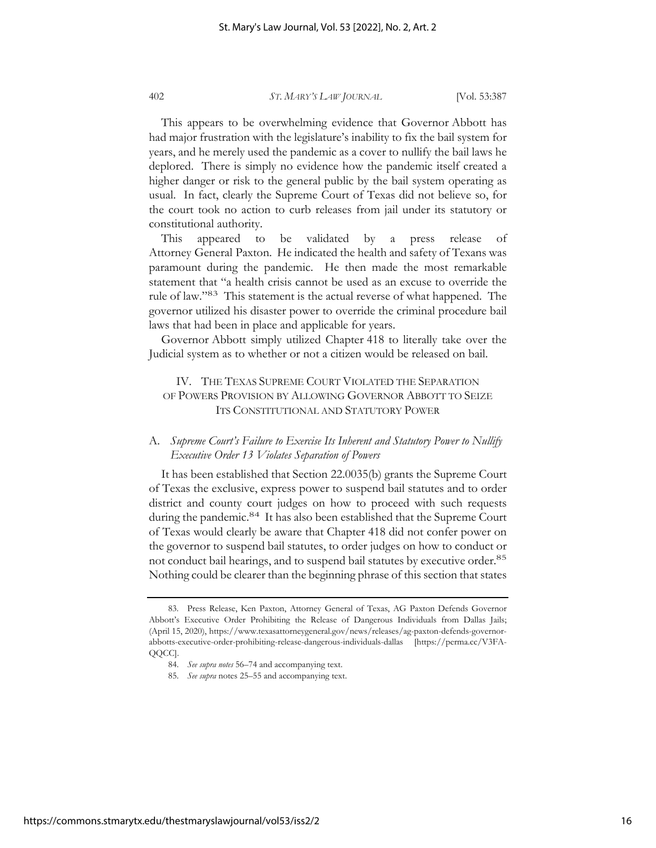This appears to be overwhelming evidence that Governor Abbott has had major frustration with the legislature's inability to fix the bail system for years, and he merely used the pandemic as a cover to nullify the bail laws he deplored. There is simply no evidence how the pandemic itself created a higher danger or risk to the general public by the bail system operating as usual. In fact, clearly the Supreme Court of Texas did not believe so, for the court took no action to curb releases from jail under its statutory or constitutional authority.

This appeared to be validated by a press release of Attorney General Paxton. He indicated the health and safety of Texans was paramount during the pandemic. He then made the most remarkable statement that "a health crisis cannot be used as an excuse to override the rule of law."83 This statement is the actual reverse of what happened. The governor utilized his disaster power to override the criminal procedure bail laws that had been in place and applicable for years.

Governor Abbott simply utilized Chapter 418 to literally take over the Judicial system as to whether or not a citizen would be released on bail.

# IV. THE TEXAS SUPREME COURT VIOLATED THE SEPARATION OF POWERS PROVISION BY ALLOWING GOVERNOR ABBOTT TO SEIZE ITS CONSTITUTIONAL AND STATUTORY POWER

## A. *Supreme Court's Failure to Exercise Its Inherent and Statutory Power to Nullify Executive Order 13 Violates Separation of Powers*

It has been established that Section 22.0035(b) grants the Supreme Court of Texas the exclusive, express power to suspend bail statutes and to order district and county court judges on how to proceed with such requests during the pandemic.<sup>84</sup> It has also been established that the Supreme Court of Texas would clearly be aware that Chapter 418 did not confer power on the governor to suspend bail statutes, to order judges on how to conduct or not conduct bail hearings, and to suspend bail statutes by executive order.<sup>85</sup> Nothing could be clearer than the beginning phrase of this section that states

<sup>83.</sup> Press Release, Ken Paxton, Attorney General of Texas, AG Paxton Defends Governor Abbott's Executive Order Prohibiting the Release of Dangerous Individuals from Dallas Jails; (April 15, 2020), https://www.texasattorneygeneral.gov/news/releases/ag-paxton-defends-governorabbotts-executive-order-prohibiting-release-dangerous-individuals-dallas [https://perma.cc/V3FA-QQCC].

<sup>84.</sup> *See supra notes* 56–74 and accompanying text.

<sup>85.</sup> *See supra* notes 25–55 and accompanying text.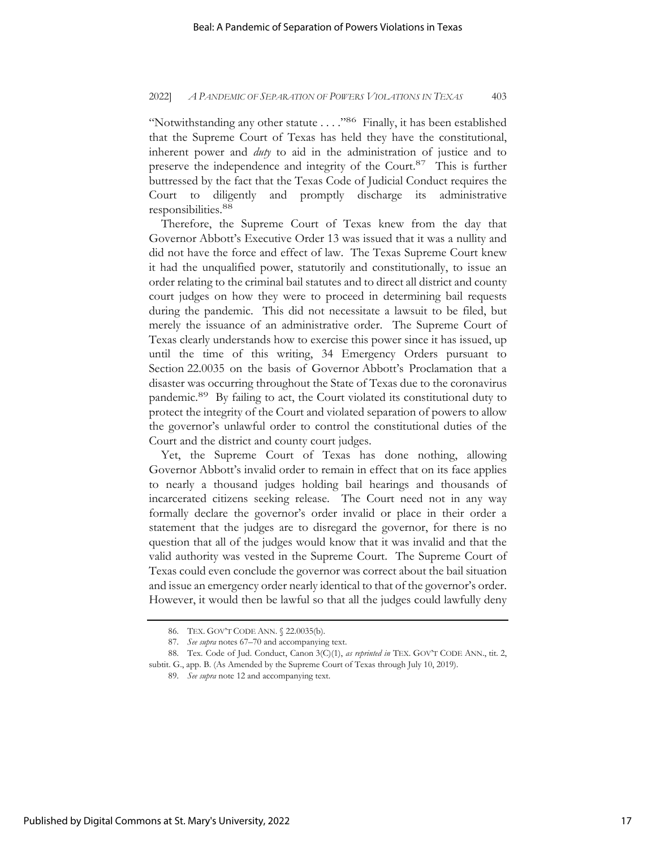"Notwithstanding any other statute . . . ."86 Finally, it has been established that the Supreme Court of Texas has held they have the constitutional, inherent power and *duty* to aid in the administration of justice and to preserve the independence and integrity of the Court.87 This is further buttressed by the fact that the Texas Code of Judicial Conduct requires the Court to diligently and promptly discharge its administrative responsibilities.<sup>88</sup>

Therefore, the Supreme Court of Texas knew from the day that Governor Abbott's Executive Order 13 was issued that it was a nullity and did not have the force and effect of law. The Texas Supreme Court knew it had the unqualified power, statutorily and constitutionally, to issue an order relating to the criminal bail statutes and to direct all district and county court judges on how they were to proceed in determining bail requests during the pandemic. This did not necessitate a lawsuit to be filed, but merely the issuance of an administrative order. The Supreme Court of Texas clearly understands how to exercise this power since it has issued, up until the time of this writing, 34 Emergency Orders pursuant to Section 22.0035 on the basis of Governor Abbott's Proclamation that a disaster was occurring throughout the State of Texas due to the coronavirus pandemic.89 By failing to act, the Court violated its constitutional duty to protect the integrity of the Court and violated separation of powers to allow the governor's unlawful order to control the constitutional duties of the Court and the district and county court judges.

Yet, the Supreme Court of Texas has done nothing, allowing Governor Abbott's invalid order to remain in effect that on its face applies to nearly a thousand judges holding bail hearings and thousands of incarcerated citizens seeking release. The Court need not in any way formally declare the governor's order invalid or place in their order a statement that the judges are to disregard the governor, for there is no question that all of the judges would know that it was invalid and that the valid authority was vested in the Supreme Court. The Supreme Court of Texas could even conclude the governor was correct about the bail situation and issue an emergency order nearly identical to that of the governor's order. However, it would then be lawful so that all the judges could lawfully deny

<sup>86.</sup> TEX. GOV'T CODE ANN. § 22.0035(b).

<sup>87.</sup> *See supra* notes 67–70 and accompanying text.

<sup>88.</sup> Tex. Code of Jud. Conduct, Canon 3(C)(1), *as reprinted in* TEX. GOV'T CODE ANN., tit. 2, subtit. G., app. B. (As Amended by the Supreme Court of Texas through July 10, 2019).

<sup>89.</sup> *See supra* note 12 and accompanying text.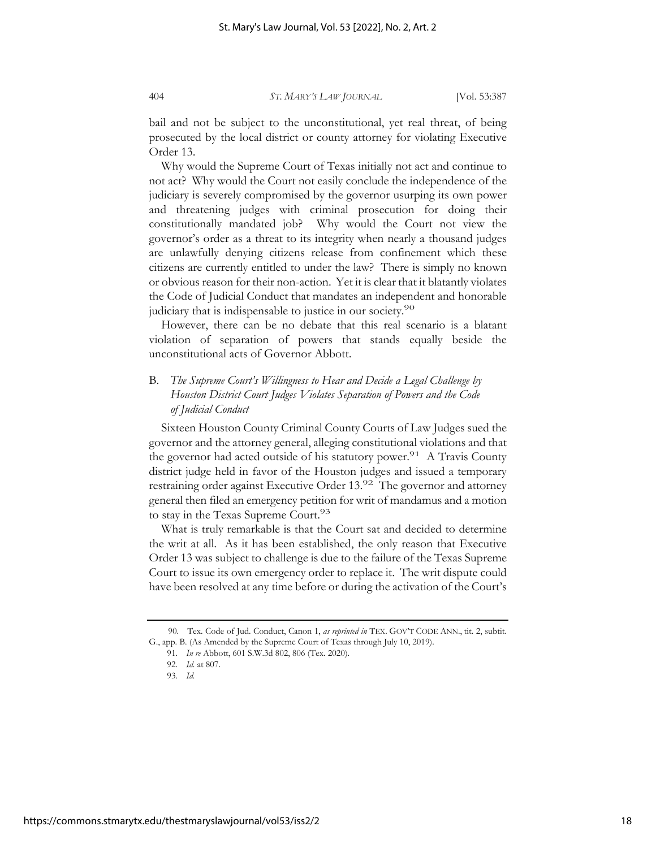bail and not be subject to the unconstitutional, yet real threat, of being prosecuted by the local district or county attorney for violating Executive Order 13.

Why would the Supreme Court of Texas initially not act and continue to not act? Why would the Court not easily conclude the independence of the judiciary is severely compromised by the governor usurping its own power and threatening judges with criminal prosecution for doing their constitutionally mandated job? Why would the Court not view the governor's order as a threat to its integrity when nearly a thousand judges are unlawfully denying citizens release from confinement which these citizens are currently entitled to under the law? There is simply no known or obvious reason for their non-action. Yet it is clear that it blatantly violates the Code of Judicial Conduct that mandates an independent and honorable judiciary that is indispensable to justice in our society.<sup>90</sup>

However, there can be no debate that this real scenario is a blatant violation of separation of powers that stands equally beside the unconstitutional acts of Governor Abbott.

# B. *The Supreme Court's Willingness to Hear and Decide a Legal Challenge by Houston District Court Judges Violates Separation of Powers and the Code of Judicial Conduct*

Sixteen Houston County Criminal County Courts of Law Judges sued the governor and the attorney general, alleging constitutional violations and that the governor had acted outside of his statutory power.<sup>91</sup> A Travis County district judge held in favor of the Houston judges and issued a temporary restraining order against Executive Order 13.92 The governor and attorney general then filed an emergency petition for writ of mandamus and a motion to stay in the Texas Supreme Court.<sup>93</sup>

What is truly remarkable is that the Court sat and decided to determine the writ at all. As it has been established, the only reason that Executive Order 13 was subject to challenge is due to the failure of the Texas Supreme Court to issue its own emergency order to replace it. The writ dispute could have been resolved at any time before or during the activation of the Court's

<sup>90.</sup> Tex. Code of Jud. Conduct, Canon 1, *as reprinted in* TEX. GOV'T CODE ANN., tit. 2, subtit. G., app. B. (As Amended by the Supreme Court of Texas through July 10, 2019).

 <sup>91.</sup> *In re* Abbott, 601 S.W.3d 802, 806 (Tex. 2020).

 <sup>92.</sup> *Id.* at 807.

 <sup>93.</sup> *Id.*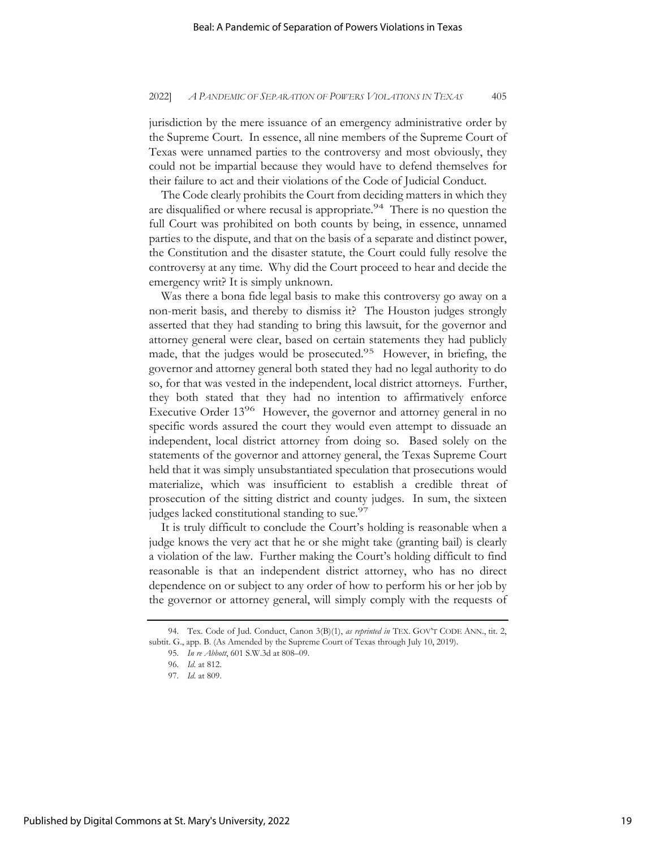jurisdiction by the mere issuance of an emergency administrative order by the Supreme Court. In essence, all nine members of the Supreme Court of Texas were unnamed parties to the controversy and most obviously, they could not be impartial because they would have to defend themselves for their failure to act and their violations of the Code of Judicial Conduct.

The Code clearly prohibits the Court from deciding matters in which they are disqualified or where recusal is appropriate.<sup>94</sup> There is no question the full Court was prohibited on both counts by being, in essence, unnamed parties to the dispute, and that on the basis of a separate and distinct power, the Constitution and the disaster statute, the Court could fully resolve the controversy at any time. Why did the Court proceed to hear and decide the emergency writ? It is simply unknown.

Was there a bona fide legal basis to make this controversy go away on a non-merit basis, and thereby to dismiss it? The Houston judges strongly asserted that they had standing to bring this lawsuit, for the governor and attorney general were clear, based on certain statements they had publicly made, that the judges would be prosecuted.<sup>95</sup> However, in briefing, the governor and attorney general both stated they had no legal authority to do so, for that was vested in the independent, local district attorneys. Further, they both stated that they had no intention to affirmatively enforce Executive Order 13<sup>96</sup> However, the governor and attorney general in no specific words assured the court they would even attempt to dissuade an independent, local district attorney from doing so. Based solely on the statements of the governor and attorney general, the Texas Supreme Court held that it was simply unsubstantiated speculation that prosecutions would materialize, which was insufficient to establish a credible threat of prosecution of the sitting district and county judges. In sum, the sixteen judges lacked constitutional standing to sue.<sup>97</sup>

It is truly difficult to conclude the Court's holding is reasonable when a judge knows the very act that he or she might take (granting bail) is clearly a violation of the law. Further making the Court's holding difficult to find reasonable is that an independent district attorney, who has no direct dependence on or subject to any order of how to perform his or her job by the governor or attorney general, will simply comply with the requests of

<sup>94.</sup> Tex. Code of Jud. Conduct, Canon 3(B)(1), *as reprinted in* TEX. GOV'T CODE ANN., tit. 2, subtit. G., app. B. (As Amended by the Supreme Court of Texas through July 10, 2019).

<sup>95.</sup> *In re Abbott*, 601 S.W.3d at 808–09.

<sup>96.</sup> *Id.* at 812.

<sup>97.</sup> *Id.* at 809.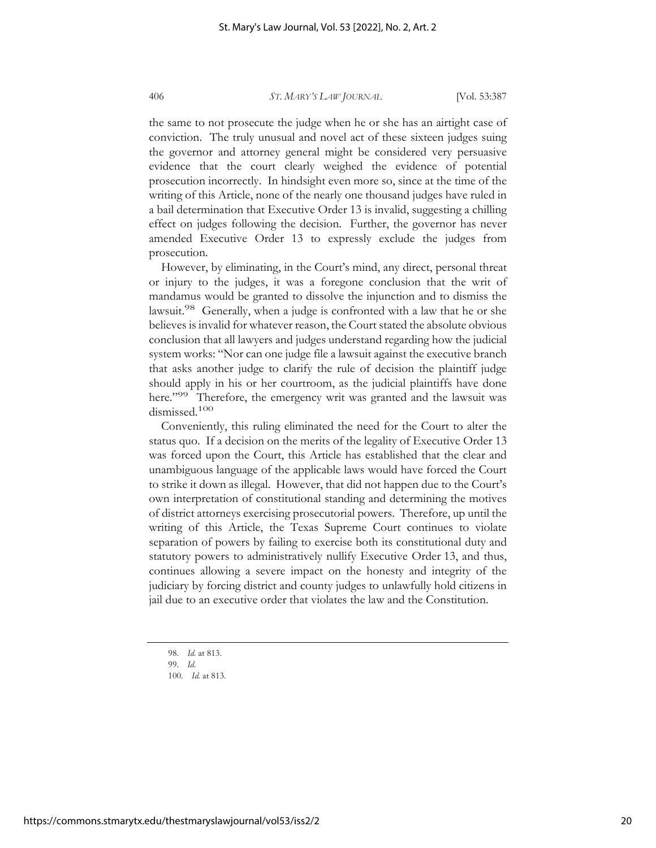the same to not prosecute the judge when he or she has an airtight case of conviction. The truly unusual and novel act of these sixteen judges suing the governor and attorney general might be considered very persuasive evidence that the court clearly weighed the evidence of potential prosecution incorrectly. In hindsight even more so, since at the time of the writing of this Article, none of the nearly one thousand judges have ruled in a bail determination that Executive Order 13 is invalid, suggesting a chilling effect on judges following the decision. Further, the governor has never amended Executive Order 13 to expressly exclude the judges from prosecution.

However, by eliminating, in the Court's mind, any direct, personal threat or injury to the judges, it was a foregone conclusion that the writ of mandamus would be granted to dissolve the injunction and to dismiss the lawsuit.<sup>98</sup> Generally, when a judge is confronted with a law that he or she believes is invalid for whatever reason, the Court stated the absolute obvious conclusion that all lawyers and judges understand regarding how the judicial system works: "Nor can one judge file a lawsuit against the executive branch that asks another judge to clarify the rule of decision the plaintiff judge should apply in his or her courtroom, as the judicial plaintiffs have done here."<sup>99</sup> Therefore, the emergency writ was granted and the lawsuit was dismissed.<sup>100</sup>

Conveniently, this ruling eliminated the need for the Court to alter the status quo. If a decision on the merits of the legality of Executive Order 13 was forced upon the Court, this Article has established that the clear and unambiguous language of the applicable laws would have forced the Court to strike it down as illegal. However, that did not happen due to the Court's own interpretation of constitutional standing and determining the motives of district attorneys exercising prosecutorial powers. Therefore, up until the writing of this Article, the Texas Supreme Court continues to violate separation of powers by failing to exercise both its constitutional duty and statutory powers to administratively nullify Executive Order 13, and thus, continues allowing a severe impact on the honesty and integrity of the judiciary by forcing district and county judges to unlawfully hold citizens in jail due to an executive order that violates the law and the Constitution.

<sup>98.</sup> *Id.* at 813.

<sup>99.</sup> *Id.*

<sup>100.</sup> *Id.* at 813.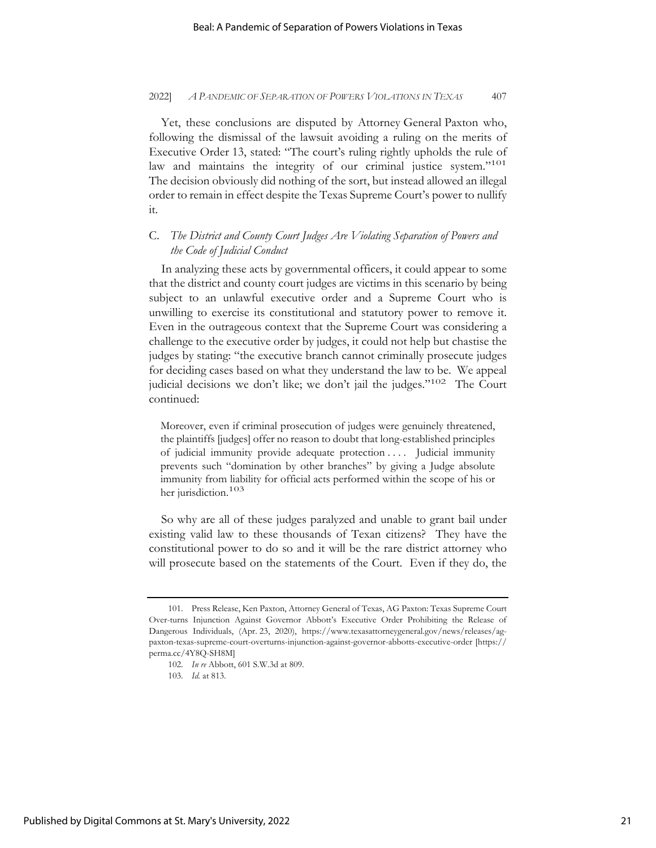Yet, these conclusions are disputed by Attorney General Paxton who, following the dismissal of the lawsuit avoiding a ruling on the merits of Executive Order 13, stated: "The court's ruling rightly upholds the rule of law and maintains the integrity of our criminal justice system."<sup>101</sup> The decision obviously did nothing of the sort, but instead allowed an illegal order to remain in effect despite the Texas Supreme Court's power to nullify it.

# C. *The District and County Court Judges Are Violating Separation of Powers and the Code of Judicial Conduct*

In analyzing these acts by governmental officers, it could appear to some that the district and county court judges are victims in this scenario by being subject to an unlawful executive order and a Supreme Court who is unwilling to exercise its constitutional and statutory power to remove it. Even in the outrageous context that the Supreme Court was considering a challenge to the executive order by judges, it could not help but chastise the judges by stating: "the executive branch cannot criminally prosecute judges for deciding cases based on what they understand the law to be. We appeal judicial decisions we don't like; we don't jail the judges."<sup>102</sup> The Court continued:

Moreover, even if criminal prosecution of judges were genuinely threatened, the plaintiffs [judges] offer no reason to doubt that long-established principles of judicial immunity provide adequate protection . . . . Judicial immunity prevents such "domination by other branches" by giving a Judge absolute immunity from liability for official acts performed within the scope of his or her jurisdiction.<sup>103</sup>

So why are all of these judges paralyzed and unable to grant bail under existing valid law to these thousands of Texan citizens? They have the constitutional power to do so and it will be the rare district attorney who will prosecute based on the statements of the Court. Even if they do, the

<sup>101.</sup> Press Release, Ken Paxton, Attorney General of Texas, AG Paxton: Texas Supreme Court Over-turns Injunction Against Governor Abbott's Executive Order Prohibiting the Release of Dangerous Individuals, (Apr. 23, 2020), https://www.texasattorneygeneral.gov/news/releases/agpaxton-texas-supreme-court-overturns-injunction-against-governor-abbotts-executive-order [https:// perma.cc/4Y8Q-SH8M]

<sup>102.</sup> *In re* Abbott, 601 S.W.3d at 809.

<sup>103.</sup> *Id.* at 813.